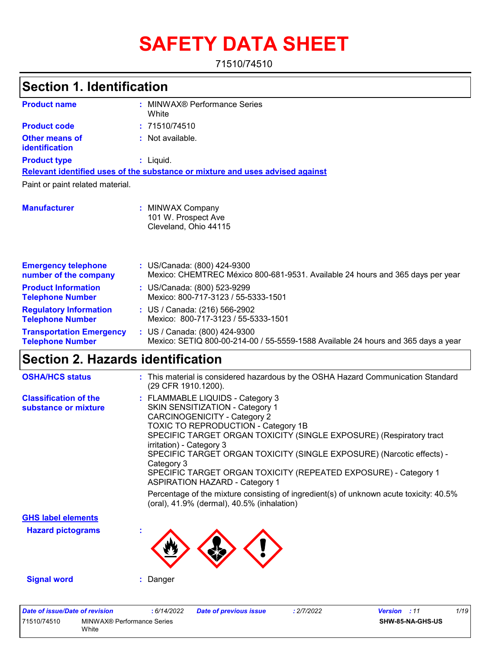# **SAFETY DATA SHEET**

71510/74510

| <b>Section 1. Identification</b>                           |                                                                                                                                                   |
|------------------------------------------------------------|---------------------------------------------------------------------------------------------------------------------------------------------------|
| <b>Product name</b>                                        | : MINWAX® Performance Series<br>White                                                                                                             |
| <b>Product code</b>                                        | : 71510/74510                                                                                                                                     |
| <b>Other means of</b><br><b>identification</b>             | : Not available.                                                                                                                                  |
| <b>Product type</b>                                        | : Liquid.                                                                                                                                         |
|                                                            | Relevant identified uses of the substance or mixture and uses advised against                                                                     |
| Paint or paint related material.                           |                                                                                                                                                   |
| <b>Manufacturer</b>                                        | : MINWAX Company<br>101 W. Prospect Ave<br>Cleveland, Ohio 44115                                                                                  |
| <b>Emergency telephone</b><br>number of the company        | : US/Canada: (800) 424-9300<br>Mexico: CHEMTREC México 800-681-9531. Available 24 hours and 365 days per year                                     |
| <b>Product Information</b><br><b>Telephone Number</b>      | : US/Canada: (800) 523-9299<br>Mexico: 800-717-3123 / 55-5333-1501                                                                                |
| <b>Regulatory Information</b><br><b>Telephone Number</b>   | : US / Canada: (216) 566-2902<br>Mexico: 800-717-3123 / 55-5333-1501                                                                              |
| <b>Transportation Emergency</b><br><b>Telephone Number</b> | : US / Canada: (800) 424-9300<br>Mexico: SETIQ 800-00-214-00 / 55-5559-1588 Available 24 hours and 365 days a year                                |
| <b>Section 2. Hazards identification</b>                   |                                                                                                                                                   |
| <b>OSHA/HCS status</b>                                     | : This material is considered hazardous by the OSHA Hazard Communication Standard<br>(29 CFR 1910.1200).                                          |
| <b>Classification of the</b><br>substance or mixture       | : FLAMMABLE LIQUIDS - Category 3<br>SKIN SENSITIZATION - Category 1<br><b>CARCINOGENICITY - Category 2</b><br>TOXIC TO REPRODUCTION - Category 1B |

SPECIFIC TARGET ORGAN TOXICITY (SINGLE EXPOSURE) (Respiratory tract irritation) - Category 3

SPECIFIC TARGET ORGAN TOXICITY (SINGLE EXPOSURE) (Narcotic effects) - Category 3 SPECIFIC TARGET ORGAN TOXICITY (REPEATED EXPOSURE) - Category 1

ASPIRATION HAZARD - Category 1 Percentage of the mixture consisting of ingredient(s) of unknown acute toxicity: 40.5% (oral), 41.9% (dermal), 40.5% (inhalation)

**GHS label elements**

**Hazard pictograms :**

**Signal word :** Danger

| Date of issue/Date of revision |                                     | : 6/14/2022 | <b>Date of previous issue</b> | 2/7/2022 | <b>Version</b> : 11 |                         | 1/19 |
|--------------------------------|-------------------------------------|-------------|-------------------------------|----------|---------------------|-------------------------|------|
| 71510/74510                    | MINWAX® Performance Series<br>White |             |                               |          |                     | <b>SHW-85-NA-GHS-US</b> |      |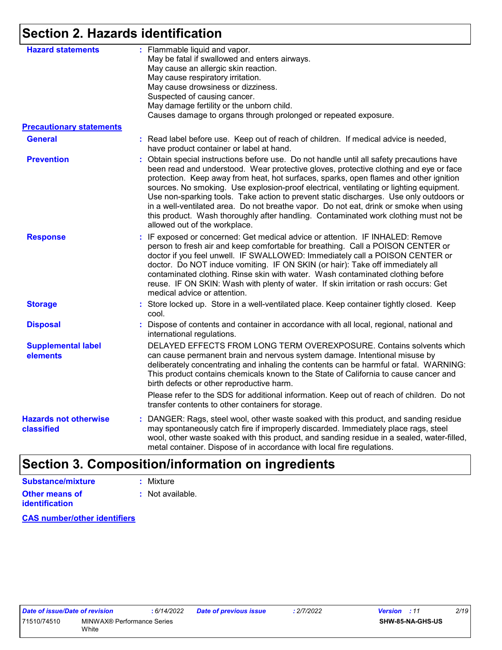## **Section 2. Hazards identification**

| <b>Hazard statements</b>                   | : Flammable liquid and vapor.<br>May be fatal if swallowed and enters airways.<br>May cause an allergic skin reaction.<br>May cause respiratory irritation.<br>May cause drowsiness or dizziness.<br>Suspected of causing cancer.<br>May damage fertility or the unborn child.                                                                                                                                                                                                                                                                                                                                                                                                      |
|--------------------------------------------|-------------------------------------------------------------------------------------------------------------------------------------------------------------------------------------------------------------------------------------------------------------------------------------------------------------------------------------------------------------------------------------------------------------------------------------------------------------------------------------------------------------------------------------------------------------------------------------------------------------------------------------------------------------------------------------|
|                                            | Causes damage to organs through prolonged or repeated exposure.                                                                                                                                                                                                                                                                                                                                                                                                                                                                                                                                                                                                                     |
| <b>Precautionary statements</b>            |                                                                                                                                                                                                                                                                                                                                                                                                                                                                                                                                                                                                                                                                                     |
| <b>General</b>                             | : Read label before use. Keep out of reach of children. If medical advice is needed,<br>have product container or label at hand.                                                                                                                                                                                                                                                                                                                                                                                                                                                                                                                                                    |
| <b>Prevention</b>                          | : Obtain special instructions before use. Do not handle until all safety precautions have<br>been read and understood. Wear protective gloves, protective clothing and eye or face<br>protection. Keep away from heat, hot surfaces, sparks, open flames and other ignition<br>sources. No smoking. Use explosion-proof electrical, ventilating or lighting equipment.<br>Use non-sparking tools. Take action to prevent static discharges. Use only outdoors or<br>in a well-ventilated area. Do not breathe vapor. Do not eat, drink or smoke when using<br>this product. Wash thoroughly after handling. Contaminated work clothing must not be<br>allowed out of the workplace. |
| <b>Response</b>                            | : IF exposed or concerned: Get medical advice or attention. IF INHALED: Remove<br>person to fresh air and keep comfortable for breathing. Call a POISON CENTER or<br>doctor if you feel unwell. IF SWALLOWED: Immediately call a POISON CENTER or<br>doctor. Do NOT induce vomiting. IF ON SKIN (or hair): Take off immediately all<br>contaminated clothing. Rinse skin with water. Wash contaminated clothing before<br>reuse. IF ON SKIN: Wash with plenty of water. If skin irritation or rash occurs: Get<br>medical advice or attention.                                                                                                                                      |
| <b>Storage</b>                             | : Store locked up. Store in a well-ventilated place. Keep container tightly closed. Keep<br>cool.                                                                                                                                                                                                                                                                                                                                                                                                                                                                                                                                                                                   |
| <b>Disposal</b>                            | Dispose of contents and container in accordance with all local, regional, national and<br>international regulations.                                                                                                                                                                                                                                                                                                                                                                                                                                                                                                                                                                |
| <b>Supplemental label</b><br>elements      | DELAYED EFFECTS FROM LONG TERM OVEREXPOSURE. Contains solvents which<br>can cause permanent brain and nervous system damage. Intentional misuse by<br>deliberately concentrating and inhaling the contents can be harmful or fatal. WARNING:<br>This product contains chemicals known to the State of California to cause cancer and<br>birth defects or other reproductive harm.                                                                                                                                                                                                                                                                                                   |
|                                            | Please refer to the SDS for additional information. Keep out of reach of children. Do not<br>transfer contents to other containers for storage.                                                                                                                                                                                                                                                                                                                                                                                                                                                                                                                                     |
| <b>Hazards not otherwise</b><br>classified | : DANGER: Rags, steel wool, other waste soaked with this product, and sanding residue<br>may spontaneously catch fire if improperly discarded. Immediately place rags, steel<br>wool, other waste soaked with this product, and sanding residue in a sealed, water-filled,<br>metal container. Dispose of in accordance with local fire regulations.                                                                                                                                                                                                                                                                                                                                |

#### **Other means of identification :** Not available. **Substance/mixture :** Mixture

**CAS number/other identifiers**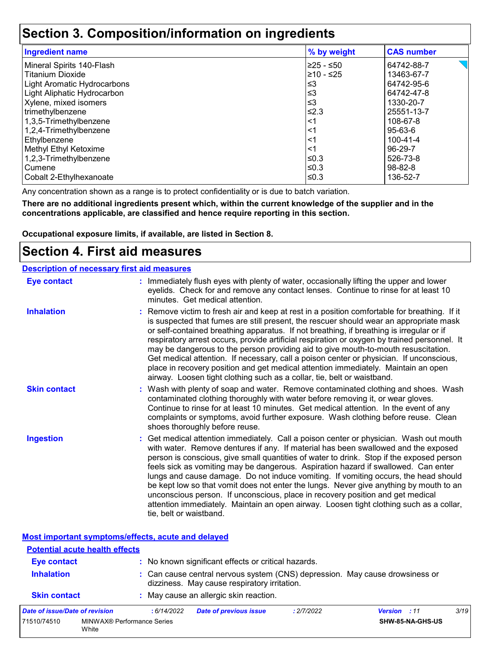### **Section 3. Composition/information on ingredients**

| <b>Ingredient name</b>      | % by weight | <b>CAS number</b> |
|-----------------------------|-------------|-------------------|
| Mineral Spirits 140-Flash   | 225 - ≤50   | 64742-88-7        |
| <b>Titanium Dioxide</b>     | l≥10 - ≤25  | 13463-67-7        |
| Light Aromatic Hydrocarbons | ≤3          | 64742-95-6        |
| Light Aliphatic Hydrocarbon | $\leq$ 3    | 64742-47-8        |
| Xylene, mixed isomers       | ≤3          | 1330-20-7         |
| trimethylbenzene            | $≤2.3$      | 25551-13-7        |
| 1,3,5-Trimethylbenzene      | $<$ 1       | 108-67-8          |
| 1,2,4-Trimethylbenzene      | $<$ 1       | 95-63-6           |
| Ethylbenzene                | $\leq$ 1    | $100 - 41 - 4$    |
| Methyl Ethyl Ketoxime       | $<$ 1       | 96-29-7           |
| 1,2,3-Trimethylbenzene      | ≤0.3        | 526-73-8          |
| Cumene                      | l≤0.3       | $98 - 82 - 8$     |
| Cobalt 2-Ethylhexanoate     | ≤0.3        | 136-52-7          |

Any concentration shown as a range is to protect confidentiality or is due to batch variation.

**There are no additional ingredients present which, within the current knowledge of the supplier and in the concentrations applicable, are classified and hence require reporting in this section.**

**Occupational exposure limits, if available, are listed in Section 8.**

### **Section 4. First aid measures**

| <b>Description of necessary first aid measures</b> |                                                                                                                                                                                                                                                                                                                                                                                                                                                                                                                                                                                                                                                                                                                                                         |
|----------------------------------------------------|---------------------------------------------------------------------------------------------------------------------------------------------------------------------------------------------------------------------------------------------------------------------------------------------------------------------------------------------------------------------------------------------------------------------------------------------------------------------------------------------------------------------------------------------------------------------------------------------------------------------------------------------------------------------------------------------------------------------------------------------------------|
| <b>Eye contact</b>                                 | : Immediately flush eyes with plenty of water, occasionally lifting the upper and lower<br>eyelids. Check for and remove any contact lenses. Continue to rinse for at least 10<br>minutes. Get medical attention.                                                                                                                                                                                                                                                                                                                                                                                                                                                                                                                                       |
| <b>Inhalation</b>                                  | : Remove victim to fresh air and keep at rest in a position comfortable for breathing. If it<br>is suspected that fumes are still present, the rescuer should wear an appropriate mask<br>or self-contained breathing apparatus. If not breathing, if breathing is irregular or if<br>respiratory arrest occurs, provide artificial respiration or oxygen by trained personnel. It<br>may be dangerous to the person providing aid to give mouth-to-mouth resuscitation.<br>Get medical attention. If necessary, call a poison center or physician. If unconscious,<br>place in recovery position and get medical attention immediately. Maintain an open<br>airway. Loosen tight clothing such as a collar, tie, belt or waistband.                    |
| <b>Skin contact</b>                                | : Wash with plenty of soap and water. Remove contaminated clothing and shoes. Wash<br>contaminated clothing thoroughly with water before removing it, or wear gloves.<br>Continue to rinse for at least 10 minutes. Get medical attention. In the event of any<br>complaints or symptoms, avoid further exposure. Wash clothing before reuse. Clean<br>shoes thoroughly before reuse.                                                                                                                                                                                                                                                                                                                                                                   |
| <b>Ingestion</b>                                   | : Get medical attention immediately. Call a poison center or physician. Wash out mouth<br>with water. Remove dentures if any. If material has been swallowed and the exposed<br>person is conscious, give small quantities of water to drink. Stop if the exposed person<br>feels sick as vomiting may be dangerous. Aspiration hazard if swallowed. Can enter<br>lungs and cause damage. Do not induce vomiting. If vomiting occurs, the head should<br>be kept low so that vomit does not enter the lungs. Never give anything by mouth to an<br>unconscious person. If unconscious, place in recovery position and get medical<br>attention immediately. Maintain an open airway. Loosen tight clothing such as a collar,<br>tie, belt or waistband. |

**Most important symptoms/effects, acute and delayed**

#### **Potential acute health effects**

**White** 

| <b>Eye contact</b><br><b>Inhalation</b> |                                   |             | : No known significant effects or critical hazards.<br>dizziness. May cause respiratory irritation. |            | : Can cause central nervous system (CNS) depression. May cause drowsiness or |      |
|-----------------------------------------|-----------------------------------|-------------|-----------------------------------------------------------------------------------------------------|------------|------------------------------------------------------------------------------|------|
| <b>Skin contact</b>                     |                                   |             | : May cause an allergic skin reaction.                                                              |            |                                                                              |      |
| Date of issue/Date of revision          |                                   | : 6/14/2022 | <b>Date of previous issue</b>                                                                       | : 2/7/2022 | <b>Version</b> : 11                                                          | 3/19 |
| 71510/74510                             | <b>MINWAX® Performance Series</b> |             |                                                                                                     |            | SHW-85-NA-GHS-US                                                             |      |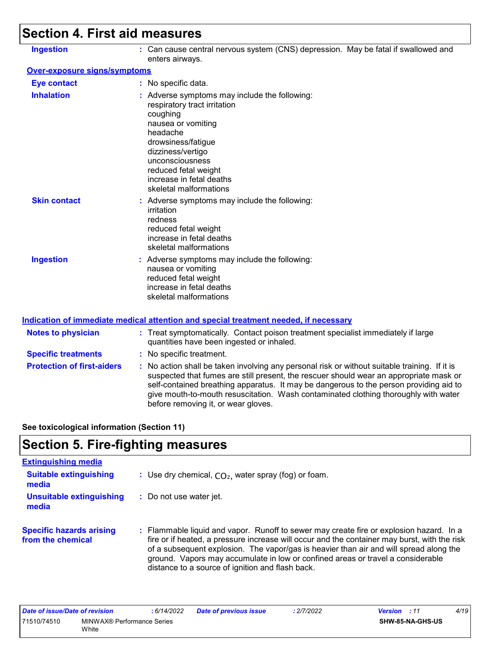# **Section 4. First aid measures**

| <b>Ingestion</b>                    | : Can cause central nervous system (CNS) depression. May be fatal if swallowed and<br>enters airways.                                                                                                                                                                   |
|-------------------------------------|-------------------------------------------------------------------------------------------------------------------------------------------------------------------------------------------------------------------------------------------------------------------------|
| <b>Over-exposure signs/symptoms</b> |                                                                                                                                                                                                                                                                         |
| <b>Eye contact</b>                  | : No specific data.                                                                                                                                                                                                                                                     |
| <b>Inhalation</b>                   | : Adverse symptoms may include the following:<br>respiratory tract irritation<br>coughing<br>nausea or vomiting<br>headache<br>drowsiness/fatigue<br>dizziness/vertigo<br>unconsciousness<br>reduced fetal weight<br>increase in fetal deaths<br>skeletal malformations |
| <b>Skin contact</b>                 | : Adverse symptoms may include the following:<br>irritation<br>redness<br>reduced fetal weight<br>increase in fetal deaths<br>skeletal malformations                                                                                                                    |
| <b>Ingestion</b>                    | : Adverse symptoms may include the following:<br>nausea or vomiting<br>reduced fetal weight<br>increase in fetal deaths<br>skeletal malformations                                                                                                                       |

| <b>Notes to physician</b>         | : Treat symptomatically. Contact poison treatment specialist immediately if large<br>quantities have been ingested or inhaled.                                                                                                                                                                                                                                                                                  |
|-----------------------------------|-----------------------------------------------------------------------------------------------------------------------------------------------------------------------------------------------------------------------------------------------------------------------------------------------------------------------------------------------------------------------------------------------------------------|
| <b>Specific treatments</b>        | : No specific treatment.                                                                                                                                                                                                                                                                                                                                                                                        |
| <b>Protection of first-aiders</b> | : No action shall be taken involving any personal risk or without suitable training. If it is<br>suspected that fumes are still present, the rescuer should wear an appropriate mask or<br>self-contained breathing apparatus. It may be dangerous to the person providing aid to<br>give mouth-to-mouth resuscitation. Wash contaminated clothing thoroughly with water<br>before removing it, or wear gloves. |

**See toxicological information (Section 11)**

## **Section 5. Fire-fighting measures**

| <b>Extinguishing media</b>                           |                                                                                                                                                                                                                                                                                                                                                                                                                          |
|------------------------------------------------------|--------------------------------------------------------------------------------------------------------------------------------------------------------------------------------------------------------------------------------------------------------------------------------------------------------------------------------------------------------------------------------------------------------------------------|
| <b>Suitable extinguishing</b><br>media               | : Use dry chemical, $CO2$ , water spray (fog) or foam.                                                                                                                                                                                                                                                                                                                                                                   |
| <b>Unsuitable extinguishing</b><br>media             | : Do not use water jet.                                                                                                                                                                                                                                                                                                                                                                                                  |
| <b>Specific hazards arising</b><br>from the chemical | : Flammable liquid and vapor. Runoff to sewer may create fire or explosion hazard. In a<br>fire or if heated, a pressure increase will occur and the container may burst, with the risk<br>of a subsequent explosion. The vapor/gas is heavier than air and will spread along the<br>ground. Vapors may accumulate in low or confined areas or travel a considerable<br>distance to a source of ignition and flash back. |

| Date of issue/Date of revision |                                     | : 6/14/2022 | <b>Date of previous issue</b> | : 2/7/2022 | <b>Version</b> : 11     | 4/19 |
|--------------------------------|-------------------------------------|-------------|-------------------------------|------------|-------------------------|------|
| 71510/74510                    | MINWAX® Performance Series<br>White |             |                               |            | <b>SHW-85-NA-GHS-US</b> |      |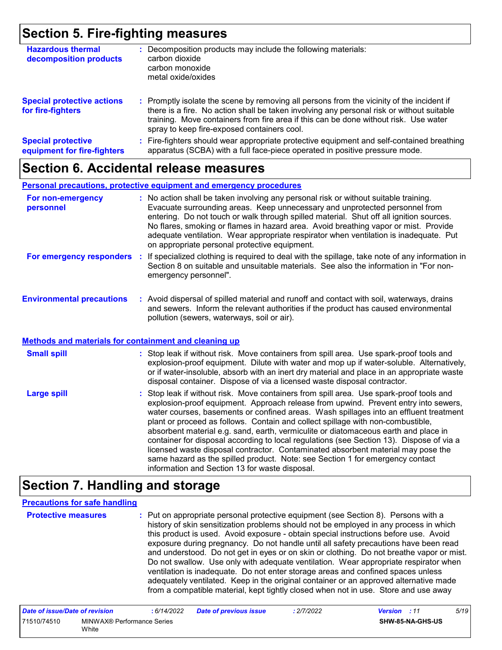### **Section 5. Fire-fighting measures**

| <b>Hazardous thermal</b><br>decomposition products       | Decomposition products may include the following materials:<br>carbon dioxide<br>carbon monoxide<br>metal oxide/oxides                                                                                                                                                                                                        |
|----------------------------------------------------------|-------------------------------------------------------------------------------------------------------------------------------------------------------------------------------------------------------------------------------------------------------------------------------------------------------------------------------|
| <b>Special protective actions</b><br>for fire-fighters   | : Promptly isolate the scene by removing all persons from the vicinity of the incident if<br>there is a fire. No action shall be taken involving any personal risk or without suitable<br>training. Move containers from fire area if this can be done without risk. Use water<br>spray to keep fire-exposed containers cool. |
| <b>Special protective</b><br>equipment for fire-fighters | Fire-fighters should wear appropriate protective equipment and self-contained breathing<br>apparatus (SCBA) with a full face-piece operated in positive pressure mode.                                                                                                                                                        |

### **Section 6. Accidental release measures**

#### **Personal precautions, protective equipment and emergency procedures**

| For non-emergency<br>personnel   | : No action shall be taken involving any personal risk or without suitable training.<br>Evacuate surrounding areas. Keep unnecessary and unprotected personnel from<br>entering. Do not touch or walk through spilled material. Shut off all ignition sources.<br>No flares, smoking or flames in hazard area. Avoid breathing vapor or mist. Provide<br>adequate ventilation. Wear appropriate respirator when ventilation is inadequate. Put<br>on appropriate personal protective equipment. |
|----------------------------------|-------------------------------------------------------------------------------------------------------------------------------------------------------------------------------------------------------------------------------------------------------------------------------------------------------------------------------------------------------------------------------------------------------------------------------------------------------------------------------------------------|
| For emergency responders         | : If specialized clothing is required to deal with the spillage, take note of any information in<br>Section 8 on suitable and unsuitable materials. See also the information in "For non-<br>emergency personnel".                                                                                                                                                                                                                                                                              |
| <b>Environmental precautions</b> | Avoid dispersal of spilled material and runoff and contact with soil, waterways, drains                                                                                                                                                                                                                                                                                                                                                                                                         |

**Environmental precautions : Avo :** Avoid dispersal of spilled material and runoff and contact with soil, waterways, drains and sewers. Inform the relevant authorities if the product has caused environmental pollution (sewers, waterways, soil or air).

### **Methods and materials for containment and cleaning up**

| <b>Small spill</b> | : Stop leak if without risk. Move containers from spill area. Use spark-proof tools and<br>explosion-proof equipment. Dilute with water and mop up if water-soluble. Alternatively,<br>or if water-insoluble, absorb with an inert dry material and place in an appropriate waste<br>disposal container. Dispose of via a licensed waste disposal contractor.                                                                                                                                                                                                                                                                                                                                                                                                        |
|--------------------|----------------------------------------------------------------------------------------------------------------------------------------------------------------------------------------------------------------------------------------------------------------------------------------------------------------------------------------------------------------------------------------------------------------------------------------------------------------------------------------------------------------------------------------------------------------------------------------------------------------------------------------------------------------------------------------------------------------------------------------------------------------------|
| <b>Large spill</b> | : Stop leak if without risk. Move containers from spill area. Use spark-proof tools and<br>explosion-proof equipment. Approach release from upwind. Prevent entry into sewers,<br>water courses, basements or confined areas. Wash spillages into an effluent treatment<br>plant or proceed as follows. Contain and collect spillage with non-combustible,<br>absorbent material e.g. sand, earth, vermiculite or diatomaceous earth and place in<br>container for disposal according to local regulations (see Section 13). Dispose of via a<br>licensed waste disposal contractor. Contaminated absorbent material may pose the<br>same hazard as the spilled product. Note: see Section 1 for emergency contact<br>information and Section 13 for waste disposal. |

### **Section 7. Handling and storage**

#### **Precautions for safe handling**

**Protective measures :** Put on appropriate personal protective equipment (see Section 8). Persons with a history of skin sensitization problems should not be employed in any process in which this product is used. Avoid exposure - obtain special instructions before use. Avoid exposure during pregnancy. Do not handle until all safety precautions have been read and understood. Do not get in eyes or on skin or clothing. Do not breathe vapor or mist. Do not swallow. Use only with adequate ventilation. Wear appropriate respirator when ventilation is inadequate. Do not enter storage areas and confined spaces unless adequately ventilated. Keep in the original container or an approved alternative made from a compatible material, kept tightly closed when not in use. Store and use away

| Date of issue/Date of revision |                                     | : 6/14/2022 | <b>Date of previous issue</b> | : 2/7/2022 | <b>Version</b> : 11 |                         | 5/19 |
|--------------------------------|-------------------------------------|-------------|-------------------------------|------------|---------------------|-------------------------|------|
| 71510/74510                    | MINWAX® Performance Series<br>White |             |                               |            |                     | <b>SHW-85-NA-GHS-US</b> |      |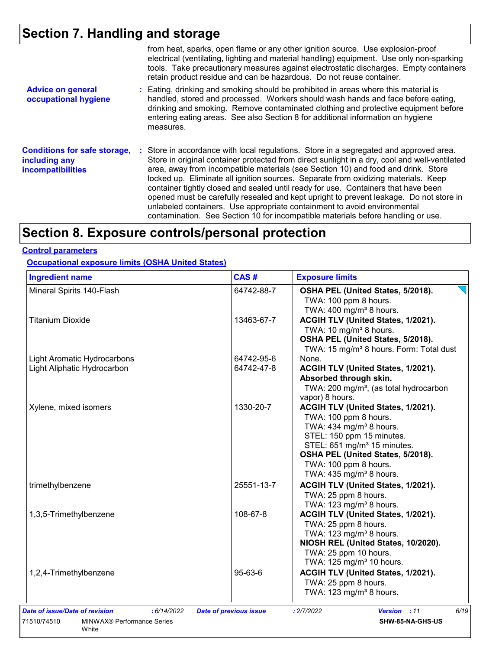# **Section 7. Handling and storage**

|                                                                                  | from heat, sparks, open flame or any other ignition source. Use explosion-proof<br>electrical (ventilating, lighting and material handling) equipment. Use only non-sparking<br>tools. Take precautionary measures against electrostatic discharges. Empty containers<br>retain product residue and can be hazardous. Do not reuse container.                                                                                                                                                                                                                                                                                                                                                                      |
|----------------------------------------------------------------------------------|--------------------------------------------------------------------------------------------------------------------------------------------------------------------------------------------------------------------------------------------------------------------------------------------------------------------------------------------------------------------------------------------------------------------------------------------------------------------------------------------------------------------------------------------------------------------------------------------------------------------------------------------------------------------------------------------------------------------|
| <b>Advice on general</b><br>occupational hygiene                                 | : Eating, drinking and smoking should be prohibited in areas where this material is<br>handled, stored and processed. Workers should wash hands and face before eating,<br>drinking and smoking. Remove contaminated clothing and protective equipment before<br>entering eating areas. See also Section 8 for additional information on hygiene<br>measures.                                                                                                                                                                                                                                                                                                                                                      |
| <b>Conditions for safe storage,</b><br>including any<br><b>incompatibilities</b> | : Store in accordance with local regulations. Store in a segregated and approved area.<br>Store in original container protected from direct sunlight in a dry, cool and well-ventilated<br>area, away from incompatible materials (see Section 10) and food and drink. Store<br>locked up. Eliminate all ignition sources. Separate from oxidizing materials. Keep<br>container tightly closed and sealed until ready for use. Containers that have been<br>opened must be carefully resealed and kept upright to prevent leakage. Do not store in<br>unlabeled containers. Use appropriate containment to avoid environmental<br>contamination. See Section 10 for incompatible materials before handling or use. |

## **Section 8. Exposure controls/personal protection**

### **Control parameters**

**Occupational exposure limits (OSHA United States)**

| <b>Ingredient name</b>                                      | CAS#                          | <b>Exposure limits</b>                                       |
|-------------------------------------------------------------|-------------------------------|--------------------------------------------------------------|
| Mineral Spirits 140-Flash                                   | 64742-88-7                    | OSHA PEL (United States, 5/2018).                            |
|                                                             |                               | TWA: 100 ppm 8 hours.<br>TWA: 400 mg/m <sup>3</sup> 8 hours. |
| <b>Titanium Dioxide</b>                                     | 13463-67-7                    | ACGIH TLV (United States, 1/2021).                           |
|                                                             |                               | TWA: 10 mg/m <sup>3</sup> 8 hours.                           |
|                                                             |                               | OSHA PEL (United States, 5/2018).                            |
|                                                             |                               | TWA: 15 mg/m <sup>3</sup> 8 hours. Form: Total dust          |
| Light Aromatic Hydrocarbons                                 | 64742-95-6                    | None.                                                        |
| Light Aliphatic Hydrocarbon                                 | 64742-47-8                    | ACGIH TLV (United States, 1/2021).                           |
|                                                             |                               | Absorbed through skin.                                       |
|                                                             |                               | TWA: 200 mg/m <sup>3</sup> , (as total hydrocarbon           |
|                                                             |                               | vapor) 8 hours.                                              |
| Xylene, mixed isomers                                       | 1330-20-7                     | ACGIH TLV (United States, 1/2021).                           |
|                                                             |                               | TWA: 100 ppm 8 hours.                                        |
|                                                             |                               | TWA: 434 mg/m <sup>3</sup> 8 hours.                          |
|                                                             |                               | STEL: 150 ppm 15 minutes.                                    |
|                                                             |                               | STEL: 651 mg/m <sup>3</sup> 15 minutes.                      |
|                                                             |                               | OSHA PEL (United States, 5/2018).                            |
|                                                             |                               | TWA: 100 ppm 8 hours.                                        |
|                                                             |                               | TWA: 435 mg/m <sup>3</sup> 8 hours.                          |
| trimethylbenzene                                            | 25551-13-7                    | ACGIH TLV (United States, 1/2021).                           |
|                                                             |                               | TWA: 25 ppm 8 hours.                                         |
|                                                             |                               | TWA: 123 mg/m <sup>3</sup> 8 hours.                          |
| 1,3,5-Trimethylbenzene                                      | 108-67-8                      | ACGIH TLV (United States, 1/2021).                           |
|                                                             |                               | TWA: 25 ppm 8 hours.                                         |
|                                                             |                               | TWA: 123 mg/m <sup>3</sup> 8 hours.                          |
|                                                             |                               | NIOSH REL (United States, 10/2020).                          |
|                                                             |                               | TWA: 25 ppm 10 hours.                                        |
|                                                             |                               | TWA: 125 mg/m <sup>3</sup> 10 hours.                         |
| 1,2,4-Trimethylbenzene                                      | 95-63-6                       | ACGIH TLV (United States, 1/2021).                           |
|                                                             |                               | TWA: 25 ppm 8 hours.                                         |
|                                                             |                               | TWA: 123 mg/m <sup>3</sup> 8 hours.                          |
| Date of issue/Date of revision<br>: 6/14/2022               | <b>Date of previous issue</b> | 6/19<br>: 2/7/2022<br>Version : 11                           |
| 71510/74510<br><b>MINWAX<sup>®</sup> Performance Series</b> |                               | SHW-85-NA-GHS-US                                             |
| White                                                       |                               |                                                              |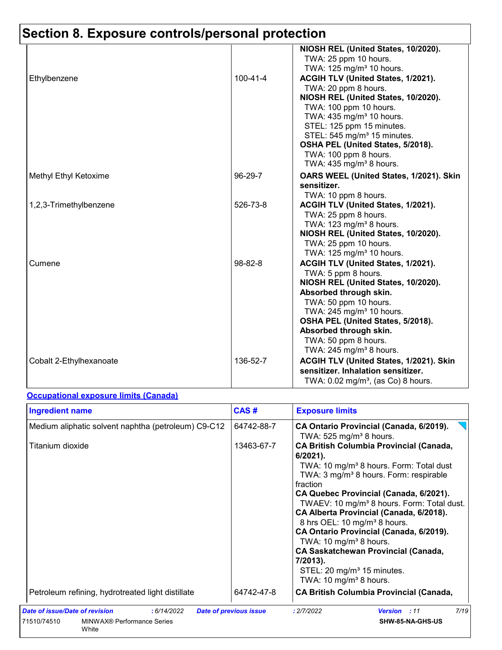# **Section 8. Exposure controls/personal protection**

|                         |                | NIOSH REL (United States, 10/2020).<br>TWA: 25 ppm 10 hours.                                                                                                                                                                                                                                                                                                                            |
|-------------------------|----------------|-----------------------------------------------------------------------------------------------------------------------------------------------------------------------------------------------------------------------------------------------------------------------------------------------------------------------------------------------------------------------------------------|
| Ethylbenzene            | $100 - 41 - 4$ | TWA: 125 mg/m <sup>3</sup> 10 hours.<br>ACGIH TLV (United States, 1/2021).<br>TWA: 20 ppm 8 hours.<br>NIOSH REL (United States, 10/2020).<br>TWA: 100 ppm 10 hours.<br>TWA: 435 mg/m <sup>3</sup> 10 hours.<br>STEL: 125 ppm 15 minutes.<br>STEL: 545 mg/m <sup>3</sup> 15 minutes.<br>OSHA PEL (United States, 5/2018).<br>TWA: 100 ppm 8 hours.<br>TWA: $435 \text{ mg/m}^3$ 8 hours. |
| Methyl Ethyl Ketoxime   | 96-29-7        | OARS WEEL (United States, 1/2021). Skin<br>sensitizer.<br>TWA: 10 ppm 8 hours.                                                                                                                                                                                                                                                                                                          |
| 1,2,3-Trimethylbenzene  | 526-73-8       | ACGIH TLV (United States, 1/2021).<br>TWA: 25 ppm 8 hours.<br>TWA: $123$ mg/m <sup>3</sup> 8 hours.<br>NIOSH REL (United States, 10/2020).<br>TWA: 25 ppm 10 hours.<br>TWA: $125 \text{ mg/m}^3$ 10 hours.                                                                                                                                                                              |
| Cumene                  | 98-82-8        | ACGIH TLV (United States, 1/2021).<br>TWA: 5 ppm 8 hours.<br>NIOSH REL (United States, 10/2020).<br>Absorbed through skin.<br>TWA: 50 ppm 10 hours.<br>TWA: $245$ mg/m <sup>3</sup> 10 hours.<br>OSHA PEL (United States, 5/2018).<br>Absorbed through skin.<br>TWA: 50 ppm 8 hours.<br>TWA: 245 mg/m <sup>3</sup> 8 hours.                                                             |
| Cobalt 2-Ethylhexanoate | 136-52-7       | ACGIH TLV (United States, 1/2021). Skin<br>sensitizer. Inhalation sensitizer.<br>TWA: $0.02$ mg/m <sup>3</sup> , (as Co) 8 hours.                                                                                                                                                                                                                                                       |

### **Occupational exposure limits (Canada)**

| <b>Ingredient name</b>                              | CAS#                          | <b>Exposure limits</b>                                                                                                                                                                                                                                                                                                                                                                                                                                                                                                                                                                                       |
|-----------------------------------------------------|-------------------------------|--------------------------------------------------------------------------------------------------------------------------------------------------------------------------------------------------------------------------------------------------------------------------------------------------------------------------------------------------------------------------------------------------------------------------------------------------------------------------------------------------------------------------------------------------------------------------------------------------------------|
| Medium aliphatic solvent naphtha (petroleum) C9-C12 | 64742-88-7                    | CA Ontario Provincial (Canada, 6/2019).<br>TWA: $525$ mg/m <sup>3</sup> 8 hours.                                                                                                                                                                                                                                                                                                                                                                                                                                                                                                                             |
| Titanium dioxide                                    | 13463-67-7                    | <b>CA British Columbia Provincial (Canada,</b><br>$6/2021$ ).<br>TWA: 10 mg/m <sup>3</sup> 8 hours. Form: Total dust<br>TWA: 3 mg/m <sup>3</sup> 8 hours. Form: respirable<br>fraction<br>CA Quebec Provincial (Canada, 6/2021).<br>TWAEV: 10 mg/m <sup>3</sup> 8 hours. Form: Total dust.<br>CA Alberta Provincial (Canada, 6/2018).<br>8 hrs OEL: 10 mg/m <sup>3</sup> 8 hours.<br>CA Ontario Provincial (Canada, 6/2019).<br>TWA: 10 mg/m <sup>3</sup> 8 hours.<br><b>CA Saskatchewan Provincial (Canada,</b><br>7/2013).<br>STEL: 20 mg/m <sup>3</sup> 15 minutes.<br>TWA: 10 mg/m <sup>3</sup> 8 hours. |
| Petroleum refining, hydrotreated light distillate   | 64742-47-8                    | <b>CA British Columbia Provincial (Canada,</b>                                                                                                                                                                                                                                                                                                                                                                                                                                                                                                                                                               |
| Date of issue/Date of revision<br>: 6/14/2022       | <b>Date of previous issue</b> | 7/19<br>: 2/7/2022<br>Version : 11                                                                                                                                                                                                                                                                                                                                                                                                                                                                                                                                                                           |
| 71510/74510<br>MINWAX® Performance Series<br>White  |                               | SHW-85-NA-GHS-US                                                                                                                                                                                                                                                                                                                                                                                                                                                                                                                                                                                             |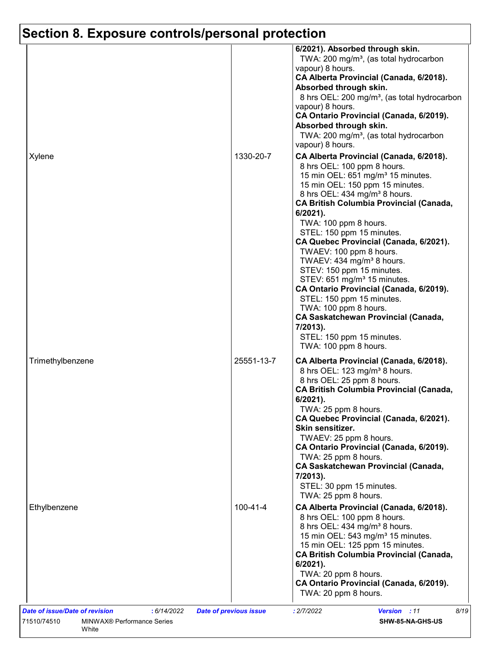# **Section 8. Exposure controls/personal protection**

|                  |                | 6/2021). Absorbed through skin.<br>TWA: 200 mg/m <sup>3</sup> , (as total hydrocarbon<br>vapour) 8 hours.<br>CA Alberta Provincial (Canada, 6/2018).<br>Absorbed through skin.<br>8 hrs OEL: 200 mg/m <sup>3</sup> , (as total hydrocarbon<br>vapour) 8 hours.<br>CA Ontario Provincial (Canada, 6/2019).<br>Absorbed through skin.<br>TWA: 200 mg/m <sup>3</sup> , (as total hydrocarbon<br>vapour) 8 hours.                                                                                                                                                                                                                                                                                                                         |
|------------------|----------------|---------------------------------------------------------------------------------------------------------------------------------------------------------------------------------------------------------------------------------------------------------------------------------------------------------------------------------------------------------------------------------------------------------------------------------------------------------------------------------------------------------------------------------------------------------------------------------------------------------------------------------------------------------------------------------------------------------------------------------------|
| Xylene           | 1330-20-7      | CA Alberta Provincial (Canada, 6/2018).<br>8 hrs OEL: 100 ppm 8 hours.<br>15 min OEL: 651 mg/m <sup>3</sup> 15 minutes.<br>15 min OEL: 150 ppm 15 minutes.<br>8 hrs OEL: 434 mg/m <sup>3</sup> 8 hours.<br><b>CA British Columbia Provincial (Canada,</b><br>$6/2021$ ).<br>TWA: 100 ppm 8 hours.<br>STEL: 150 ppm 15 minutes.<br>CA Quebec Provincial (Canada, 6/2021).<br>TWAEV: 100 ppm 8 hours.<br>TWAEV: 434 mg/m <sup>3</sup> 8 hours.<br>STEV: 150 ppm 15 minutes.<br>STEV: 651 mg/m <sup>3</sup> 15 minutes.<br>CA Ontario Provincial (Canada, 6/2019).<br>STEL: 150 ppm 15 minutes.<br>TWA: 100 ppm 8 hours.<br><b>CA Saskatchewan Provincial (Canada,</b><br>7/2013).<br>STEL: 150 ppm 15 minutes.<br>TWA: 100 ppm 8 hours. |
| Trimethylbenzene | 25551-13-7     | CA Alberta Provincial (Canada, 6/2018).<br>8 hrs OEL: 123 mg/m <sup>3</sup> 8 hours.<br>8 hrs OEL: 25 ppm 8 hours.<br><b>CA British Columbia Provincial (Canada,</b><br>$6/2021$ ).<br>TWA: 25 ppm 8 hours.<br>CA Quebec Provincial (Canada, 6/2021).<br>Skin sensitizer.<br>TWAEV: 25 ppm 8 hours.<br>CA Ontario Provincial (Canada, 6/2019).<br>TWA: 25 ppm 8 hours.<br><b>CA Saskatchewan Provincial (Canada,</b><br>7/2013).<br>STEL: 30 ppm 15 minutes.<br>TWA: 25 ppm 8 hours.                                                                                                                                                                                                                                                  |
| Ethylbenzene     | $100 - 41 - 4$ | CA Alberta Provincial (Canada, 6/2018).<br>8 hrs OEL: 100 ppm 8 hours.<br>8 hrs OEL: 434 mg/m <sup>3</sup> 8 hours.<br>15 min OEL: 543 mg/m <sup>3</sup> 15 minutes.<br>15 min OEL: 125 ppm 15 minutes.<br><b>CA British Columbia Provincial (Canada,</b><br>$6/2021$ ).<br>TWA: 20 ppm 8 hours.<br>CA Ontario Provincial (Canada, 6/2019).<br>TWA: 20 ppm 8 hours.                                                                                                                                                                                                                                                                                                                                                                   |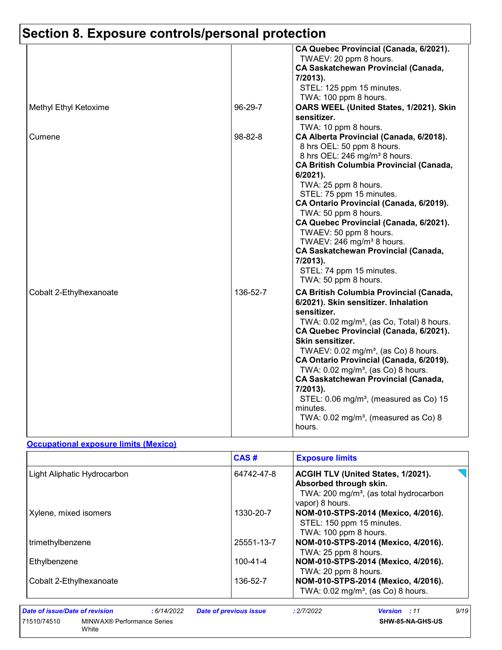| Section 8. Exposure controls/personal protection |               |                                                                                                                                                                                                                                                                                                                                                                                                                                                                                                                                                                           |
|--------------------------------------------------|---------------|---------------------------------------------------------------------------------------------------------------------------------------------------------------------------------------------------------------------------------------------------------------------------------------------------------------------------------------------------------------------------------------------------------------------------------------------------------------------------------------------------------------------------------------------------------------------------|
|                                                  |               | CA Quebec Provincial (Canada, 6/2021).<br>TWAEV: 20 ppm 8 hours.<br><b>CA Saskatchewan Provincial (Canada,</b><br>7/2013).<br>STEL: 125 ppm 15 minutes.<br>TWA: 100 ppm 8 hours.                                                                                                                                                                                                                                                                                                                                                                                          |
| Methyl Ethyl Ketoxime                            | 96-29-7       | OARS WEEL (United States, 1/2021). Skin<br>sensitizer.<br>TWA: 10 ppm 8 hours.                                                                                                                                                                                                                                                                                                                                                                                                                                                                                            |
| Cumene                                           | $98 - 82 - 8$ | CA Alberta Provincial (Canada, 6/2018).<br>8 hrs OEL: 50 ppm 8 hours.<br>8 hrs OEL: 246 mg/m <sup>3</sup> 8 hours.<br><b>CA British Columbia Provincial (Canada,</b><br>$6/2021$ ).<br>TWA: 25 ppm 8 hours.<br>STEL: 75 ppm 15 minutes.<br>CA Ontario Provincial (Canada, 6/2019).<br>TWA: 50 ppm 8 hours.<br>CA Quebec Provincial (Canada, 6/2021).<br>TWAEV: 50 ppm 8 hours.<br>TWAEV: 246 mg/m <sup>3</sup> 8 hours.<br><b>CA Saskatchewan Provincial (Canada,</b><br>7/2013).<br>STEL: 74 ppm 15 minutes.<br>TWA: 50 ppm 8 hours.                                     |
| Cobalt 2-Ethylhexanoate                          | 136-52-7      | <b>CA British Columbia Provincial (Canada,</b><br>6/2021). Skin sensitizer. Inhalation<br>sensitizer.<br>TWA: 0.02 mg/m <sup>3</sup> , (as Co, Total) 8 hours.<br>CA Quebec Provincial (Canada, 6/2021).<br>Skin sensitizer.<br>TWAEV: 0.02 mg/m <sup>3</sup> , (as Co) 8 hours.<br>CA Ontario Provincial (Canada, 6/2019).<br>TWA: 0.02 mg/m <sup>3</sup> , (as Co) 8 hours.<br><b>CA Saskatchewan Provincial (Canada,</b><br>7/2013).<br>STEL: 0.06 mg/m <sup>3</sup> , (measured as Co) 15<br>minutes.<br>TWA: $0.02$ mg/m <sup>3</sup> , (measured as Co) 8<br>hours. |

### **Occupational exposure limits (Mexico)**

|                             | CAS#           | <b>Exposure limits</b>                                                                                                                |
|-----------------------------|----------------|---------------------------------------------------------------------------------------------------------------------------------------|
| Light Aliphatic Hydrocarbon | 64742-47-8     | ACGIH TLV (United States, 1/2021).<br>Absorbed through skin.<br>TWA: 200 mg/m <sup>3</sup> , (as total hydrocarbon<br>vapor) 8 hours. |
| Xylene, mixed isomers       | 1330-20-7      | NOM-010-STPS-2014 (Mexico, 4/2016).<br>STEL: 150 ppm 15 minutes.<br>TWA: 100 ppm 8 hours.                                             |
| trimethylbenzene            | 25551-13-7     | NOM-010-STPS-2014 (Mexico, 4/2016).<br>TWA: 25 ppm 8 hours.                                                                           |
| Ethylbenzene                | $100 - 41 - 4$ | NOM-010-STPS-2014 (Mexico, 4/2016).<br>TWA: 20 ppm 8 hours.                                                                           |
| Cobalt 2-Ethylhexanoate     | 136-52-7       | NOM-010-STPS-2014 (Mexico, 4/2016).<br>TWA: $0.02$ mg/m <sup>3</sup> , (as Co) 8 hours.                                               |

*Date of issue/Date of revision* **:** *6/14/2022 Date of previous issue : 2/7/2022 Version : 11 9/19*

71510/74510 MINWAX® Performance Series White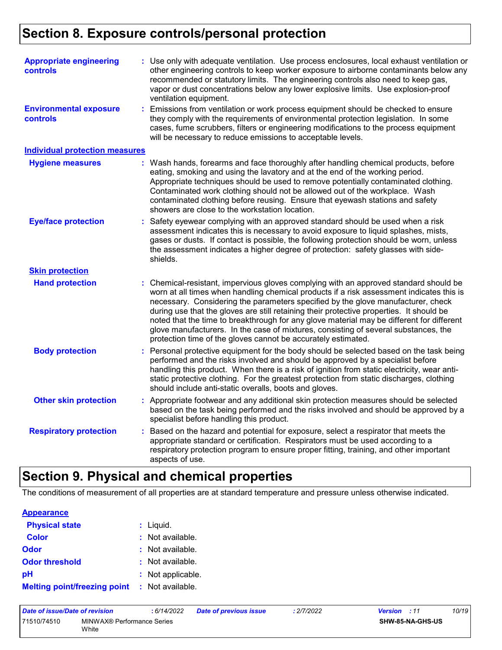### **Section 8. Exposure controls/personal protection**

| <b>Appropriate engineering</b><br>controls | : Use only with adequate ventilation. Use process enclosures, local exhaust ventilation or<br>other engineering controls to keep worker exposure to airborne contaminants below any<br>recommended or statutory limits. The engineering controls also need to keep gas,<br>vapor or dust concentrations below any lower explosive limits. Use explosion-proof<br>ventilation equipment.                                                                                                                                                                                                                                |
|--------------------------------------------|------------------------------------------------------------------------------------------------------------------------------------------------------------------------------------------------------------------------------------------------------------------------------------------------------------------------------------------------------------------------------------------------------------------------------------------------------------------------------------------------------------------------------------------------------------------------------------------------------------------------|
| <b>Environmental exposure</b><br>controls  | : Emissions from ventilation or work process equipment should be checked to ensure<br>they comply with the requirements of environmental protection legislation. In some<br>cases, fume scrubbers, filters or engineering modifications to the process equipment<br>will be necessary to reduce emissions to acceptable levels.                                                                                                                                                                                                                                                                                        |
| <b>Individual protection measures</b>      |                                                                                                                                                                                                                                                                                                                                                                                                                                                                                                                                                                                                                        |
| <b>Hygiene measures</b>                    | : Wash hands, forearms and face thoroughly after handling chemical products, before<br>eating, smoking and using the lavatory and at the end of the working period.<br>Appropriate techniques should be used to remove potentially contaminated clothing.<br>Contaminated work clothing should not be allowed out of the workplace. Wash<br>contaminated clothing before reusing. Ensure that eyewash stations and safety<br>showers are close to the workstation location.                                                                                                                                            |
| <b>Eye/face protection</b>                 | : Safety eyewear complying with an approved standard should be used when a risk<br>assessment indicates this is necessary to avoid exposure to liquid splashes, mists,<br>gases or dusts. If contact is possible, the following protection should be worn, unless<br>the assessment indicates a higher degree of protection: safety glasses with side-<br>shields.                                                                                                                                                                                                                                                     |
| <b>Skin protection</b>                     |                                                                                                                                                                                                                                                                                                                                                                                                                                                                                                                                                                                                                        |
| <b>Hand protection</b>                     | : Chemical-resistant, impervious gloves complying with an approved standard should be<br>worn at all times when handling chemical products if a risk assessment indicates this is<br>necessary. Considering the parameters specified by the glove manufacturer, check<br>during use that the gloves are still retaining their protective properties. It should be<br>noted that the time to breakthrough for any glove material may be different for different<br>glove manufacturers. In the case of mixtures, consisting of several substances, the<br>protection time of the gloves cannot be accurately estimated. |
| <b>Body protection</b>                     | : Personal protective equipment for the body should be selected based on the task being<br>performed and the risks involved and should be approved by a specialist before<br>handling this product. When there is a risk of ignition from static electricity, wear anti-<br>static protective clothing. For the greatest protection from static discharges, clothing<br>should include anti-static overalls, boots and gloves.                                                                                                                                                                                         |
| <b>Other skin protection</b>               | : Appropriate footwear and any additional skin protection measures should be selected<br>based on the task being performed and the risks involved and should be approved by a<br>specialist before handling this product.                                                                                                                                                                                                                                                                                                                                                                                              |
| <b>Respiratory protection</b>              | : Based on the hazard and potential for exposure, select a respirator that meets the<br>appropriate standard or certification. Respirators must be used according to a<br>respiratory protection program to ensure proper fitting, training, and other important<br>aspects of use.                                                                                                                                                                                                                                                                                                                                    |

## **Section 9. Physical and chemical properties**

The conditions of measurement of all properties are at standard temperature and pressure unless otherwise indicated.

| <b>Appearance</b>                   |                    |
|-------------------------------------|--------------------|
| <b>Physical state</b>               | $:$ Liquid.        |
| <b>Color</b>                        | : Not available.   |
| Odor                                | $:$ Not available. |
| <b>Odor threshold</b>               | : Not available.   |
| рH                                  | : Not applicable.  |
| <b>Melting point/freezing point</b> | : Not available.   |

| Date of issue/Date of revision |                                     | : 6/14/2022 | <b>Date of previous issue</b> | : 2/7/2022              | <b>Version</b> : 11 | 10/19 |
|--------------------------------|-------------------------------------|-------------|-------------------------------|-------------------------|---------------------|-------|
| 71510/74510                    | MINWAX® Performance Series<br>White |             |                               | <b>SHW-85-NA-GHS-US</b> |                     |       |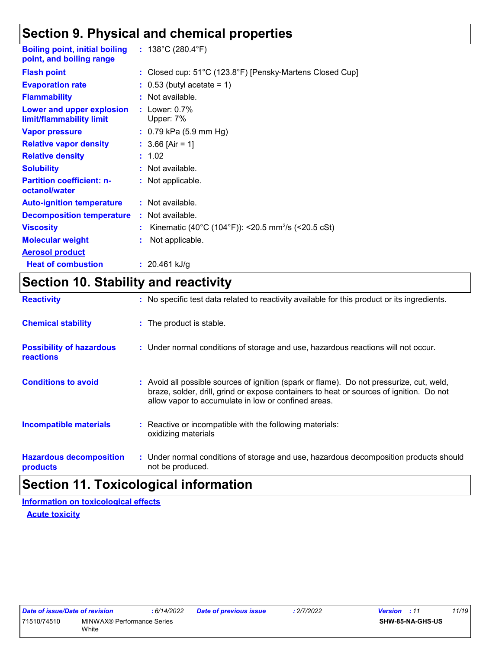### **Section 9. Physical and chemical properties**

| <b>Boiling point, initial boiling</b><br>point, and boiling range | : $138^{\circ}$ C (280.4 $^{\circ}$ F)                           |
|-------------------------------------------------------------------|------------------------------------------------------------------|
| <b>Flash point</b>                                                | : Closed cup: 51°C (123.8°F) [Pensky-Martens Closed Cup]         |
| <b>Evaporation rate</b>                                           | $\therefore$ 0.53 (butyl acetate = 1)                            |
| <b>Flammability</b>                                               | : Not available.                                                 |
| Lower and upper explosion<br>limit/flammability limit             | $:$ Lower: $0.7\%$<br>Upper: 7%                                  |
| <b>Vapor pressure</b>                                             | $: 0.79$ kPa (5.9 mm Hg)                                         |
| <b>Relative vapor density</b>                                     | : $3.66$ [Air = 1]                                               |
| <b>Relative density</b>                                           | : 1.02                                                           |
| <b>Solubility</b>                                                 | : Not available.                                                 |
| <b>Partition coefficient: n-</b><br>octanol/water                 | : Not applicable.                                                |
| <b>Auto-ignition temperature</b>                                  | : Not available.                                                 |
| <b>Decomposition temperature</b>                                  | : Not available.                                                 |
| <b>Viscosity</b>                                                  | : Kinematic (40°C (104°F)): <20.5 mm <sup>2</sup> /s (<20.5 cSt) |
| <b>Molecular weight</b>                                           | Not applicable.                                                  |
| <b>Aerosol product</b>                                            |                                                                  |
| <b>Heat of combustion</b>                                         | : $20.461$ kJ/g                                                  |

## **Section 10. Stability and reactivity**

| <b>Reactivity</b>                                   | : No specific test data related to reactivity available for this product or its ingredients.                                                                                                                                               |
|-----------------------------------------------------|--------------------------------------------------------------------------------------------------------------------------------------------------------------------------------------------------------------------------------------------|
| <b>Chemical stability</b>                           | : The product is stable.                                                                                                                                                                                                                   |
| <b>Possibility of hazardous</b><br><b>reactions</b> | : Under normal conditions of storage and use, hazardous reactions will not occur.                                                                                                                                                          |
| <b>Conditions to avoid</b>                          | : Avoid all possible sources of ignition (spark or flame). Do not pressurize, cut, weld,<br>braze, solder, drill, grind or expose containers to heat or sources of ignition. Do not<br>allow vapor to accumulate in low or confined areas. |
| <b>Incompatible materials</b>                       | : Reactive or incompatible with the following materials:<br>oxidizing materials                                                                                                                                                            |
| <b>Hazardous decomposition</b><br>products          | : Under normal conditions of storage and use, hazardous decomposition products should<br>not be produced.                                                                                                                                  |

### **Section 11. Toxicological information**

**Acute toxicity Information on toxicological effects**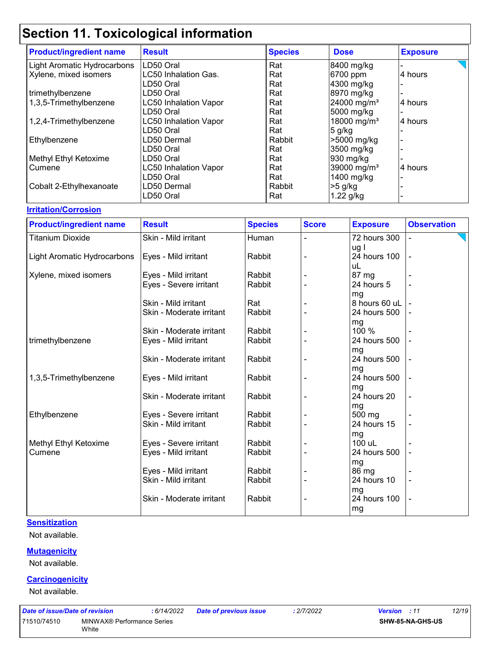| <b>Product/ingredient name</b> | <b>Result</b>                | <b>Species</b> | <b>Dose</b>             | <b>Exposure</b> |
|--------------------------------|------------------------------|----------------|-------------------------|-----------------|
| Light Aromatic Hydrocarbons    | LD50 Oral                    | Rat            | 8400 mg/kg              |                 |
| Xylene, mixed isomers          | <b>LC50 Inhalation Gas.</b>  | Rat            | 6700 ppm                | 4 hours         |
|                                | LD50 Oral                    | Rat            | 4300 mg/kg              |                 |
| trimethylbenzene               | LD50 Oral                    | Rat            | 8970 mg/kg              |                 |
| 1,3,5-Trimethylbenzene         | <b>LC50 Inhalation Vapor</b> | Rat            | 24000 mg/m <sup>3</sup> | 4 hours         |
|                                | LD50 Oral                    | Rat            | 5000 mg/kg              |                 |
| 1,2,4-Trimethylbenzene         | <b>LC50 Inhalation Vapor</b> | Rat            | 18000 mg/m <sup>3</sup> | 4 hours         |
|                                | LD50 Oral                    | Rat            | 5 g/kg                  |                 |
| Ethylbenzene                   | LD50 Dermal                  | Rabbit         | >5000 mg/kg             |                 |
|                                | LD50 Oral                    | Rat            | 3500 mg/kg              |                 |
| Methyl Ethyl Ketoxime          | LD50 Oral                    | Rat            | 930 mg/kg               |                 |
| Cumene                         | <b>LC50 Inhalation Vapor</b> | Rat            | 39000 mg/m <sup>3</sup> | 4 hours         |
|                                | LD50 Oral                    | Rat            | 1400 mg/kg              |                 |
| Cobalt 2-Ethylhexanoate        | LD50 Dermal                  | Rabbit         | $>5$ g/kg               |                 |
|                                | LD50 Oral                    | Rat            | $1.22$ g/kg             |                 |

### **Irritation/Corrosion**

| <b>Product/ingredient name</b> | <b>Result</b>                                    | <b>Species</b>   | <b>Score</b> | <b>Exposure</b>             | <b>Observation</b> |
|--------------------------------|--------------------------------------------------|------------------|--------------|-----------------------------|--------------------|
| <b>Titanium Dioxide</b>        | Skin - Mild irritant                             | Human            |              | 72 hours 300                |                    |
| Light Aromatic Hydrocarbons    | Eyes - Mild irritant                             | Rabbit           |              | ug l<br>24 hours 100<br>uL  |                    |
| Xylene, mixed isomers          | Eyes - Mild irritant                             | Rabbit           |              | 87 mg                       |                    |
|                                | Eyes - Severe irritant                           | Rabbit           |              | 24 hours 5                  |                    |
|                                | Skin - Mild irritant                             | Rat              |              | mg<br>8 hours 60 uL         |                    |
|                                | Skin - Moderate irritant                         | Rabbit           |              | 24 hours 500                |                    |
| trimethylbenzene               | Skin - Moderate irritant<br>Eyes - Mild irritant | Rabbit<br>Rabbit |              | mg<br>100 %<br>24 hours 500 |                    |
|                                |                                                  |                  |              | mg                          |                    |
|                                | Skin - Moderate irritant                         | Rabbit           |              | 24 hours 500                |                    |
| 1,3,5-Trimethylbenzene         | Eyes - Mild irritant                             | Rabbit           |              | mg<br>24 hours 500          |                    |
|                                | Skin - Moderate irritant                         | Rabbit           |              | mg<br>24 hours 20           |                    |
| Ethylbenzene                   | Eyes - Severe irritant                           | Rabbit           |              | mg<br>500 mg                |                    |
|                                | Skin - Mild irritant                             | Rabbit           |              | 24 hours 15                 |                    |
| Methyl Ethyl Ketoxime          | Eyes - Severe irritant                           | Rabbit           |              | mg<br>100 uL                |                    |
| Cumene                         | Eyes - Mild irritant                             | Rabbit           |              | 24 hours 500                |                    |
|                                |                                                  |                  |              | mg                          |                    |
|                                | Eyes - Mild irritant                             | Rabbit           |              | 86 mg                       |                    |
|                                | Skin - Mild irritant                             | Rabbit           |              | 24 hours 10                 |                    |
|                                | Skin - Moderate irritant                         | Rabbit           |              | mg<br>24 hours 100<br>mg    | ÷,                 |

### **Sensitization**

Not available.

#### **Mutagenicity**

Not available.

#### **Carcinogenicity**

Not available.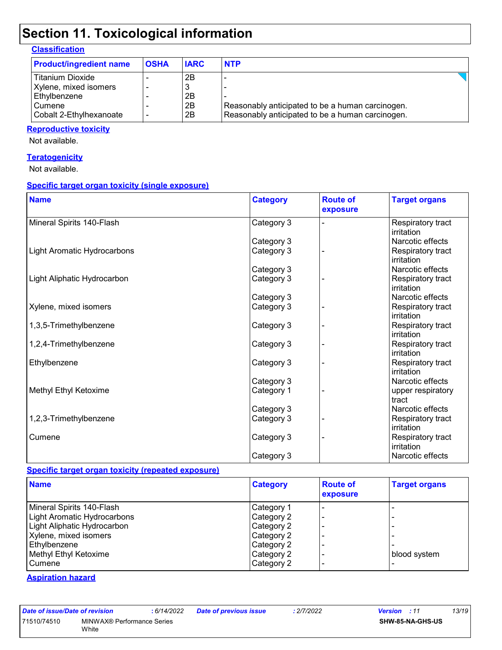### **Classification**

| <b>Product/ingredient name</b> | <b>OSHA</b> | <b>IARC</b> | <b>NTP</b>                                       |  |
|--------------------------------|-------------|-------------|--------------------------------------------------|--|
| Titanium Dioxide               |             | 2Β          |                                                  |  |
| Xylene, mixed isomers          |             | 3           |                                                  |  |
| Ethylbenzene                   |             | 2B          |                                                  |  |
| Cumene                         |             | 2B          | Reasonably anticipated to be a human carcinogen. |  |
| Cobalt 2-Ethylhexanoate        |             | 2B          | Reasonably anticipated to be a human carcinogen. |  |

#### **Reproductive toxicity**

Not available.

#### **Teratogenicity**

Not available.

### **Specific target organ toxicity (single exposure)**

| <b>Name</b>                 | <b>Category</b> | <b>Route of</b><br>exposure | <b>Target organs</b>            |
|-----------------------------|-----------------|-----------------------------|---------------------------------|
| Mineral Spirits 140-Flash   | Category 3      |                             | Respiratory tract<br>irritation |
|                             | Category 3      |                             | Narcotic effects                |
| Light Aromatic Hydrocarbons | Category 3      |                             | Respiratory tract<br>irritation |
|                             | Category 3      |                             | Narcotic effects                |
| Light Aliphatic Hydrocarbon | Category 3      |                             | Respiratory tract<br>irritation |
|                             | Category 3      |                             | Narcotic effects                |
| Xylene, mixed isomers       | Category 3      |                             | Respiratory tract<br>irritation |
| 1,3,5-Trimethylbenzene      | Category 3      |                             | Respiratory tract<br>irritation |
| 1,2,4-Trimethylbenzene      | Category 3      |                             | Respiratory tract<br>irritation |
| Ethylbenzene                | Category 3      |                             | Respiratory tract<br>irritation |
|                             | Category 3      |                             | Narcotic effects                |
| Methyl Ethyl Ketoxime       | Category 1      |                             | upper respiratory<br>tract      |
|                             | Category 3      |                             | Narcotic effects                |
| 1,2,3-Trimethylbenzene      | Category 3      |                             | Respiratory tract<br>irritation |
| Cumene                      | Category 3      |                             | Respiratory tract<br>irritation |
|                             | Category 3      |                             | Narcotic effects                |

### **Specific target organ toxicity (repeated exposure)**

| <b>Name</b>                 | <b>Category</b> | <b>Route of</b><br>exposure | <b>Target organs</b> |
|-----------------------------|-----------------|-----------------------------|----------------------|
| Mineral Spirits 140-Flash   | Category 1      |                             |                      |
| Light Aromatic Hydrocarbons | Category 2      |                             |                      |
| Light Aliphatic Hydrocarbon | Category 2      |                             |                      |
| Xylene, mixed isomers       | Category 2      |                             |                      |
| Ethylbenzene                | Category 2      |                             |                      |
| Methyl Ethyl Ketoxime       | Category 2      |                             | blood system         |
| <b>Cumene</b>               | Category 2      |                             |                      |

#### **Aspiration hazard**

|                            | : 6/14/2                                |
|----------------------------|-----------------------------------------|
| MINWAX® Performance Series |                                         |
|                            | Date of issue/Date of revision<br>White |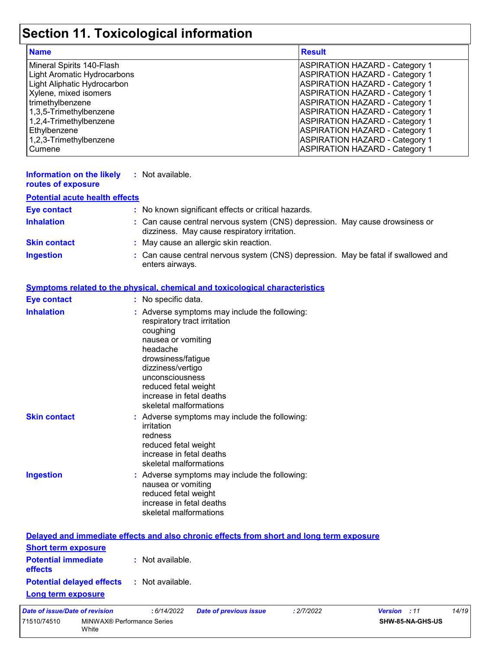|                                                                                                                                                                                                                                                     | Section 11. Toxicological information                                                                                                                                                                                                                                   |                                                                                                                                                                                                                                                                                                                                                                                                                        |
|-----------------------------------------------------------------------------------------------------------------------------------------------------------------------------------------------------------------------------------------------------|-------------------------------------------------------------------------------------------------------------------------------------------------------------------------------------------------------------------------------------------------------------------------|------------------------------------------------------------------------------------------------------------------------------------------------------------------------------------------------------------------------------------------------------------------------------------------------------------------------------------------------------------------------------------------------------------------------|
| <b>Name</b>                                                                                                                                                                                                                                         |                                                                                                                                                                                                                                                                         | <b>Result</b>                                                                                                                                                                                                                                                                                                                                                                                                          |
| Mineral Spirits 140-Flash<br><b>Light Aromatic Hydrocarbons</b><br>Light Aliphatic Hydrocarbon<br>Xylene, mixed isomers<br>trimethylbenzene<br>1,3,5-Trimethylbenzene<br>1,2,4-Trimethylbenzene<br>Ethylbenzene<br>1,2,3-Trimethylbenzene<br>Cumene |                                                                                                                                                                                                                                                                         | <b>ASPIRATION HAZARD - Category 1</b><br><b>ASPIRATION HAZARD - Category 1</b><br><b>ASPIRATION HAZARD - Category 1</b><br><b>ASPIRATION HAZARD - Category 1</b><br><b>ASPIRATION HAZARD - Category 1</b><br><b>ASPIRATION HAZARD - Category 1</b><br><b>ASPIRATION HAZARD - Category 1</b><br><b>ASPIRATION HAZARD - Category 1</b><br><b>ASPIRATION HAZARD - Category 1</b><br><b>ASPIRATION HAZARD - Category 1</b> |
| <b>Information on the likely</b><br>routes of exposure                                                                                                                                                                                              | : Not available.                                                                                                                                                                                                                                                        |                                                                                                                                                                                                                                                                                                                                                                                                                        |
| <b>Potential acute health effects</b>                                                                                                                                                                                                               |                                                                                                                                                                                                                                                                         |                                                                                                                                                                                                                                                                                                                                                                                                                        |
| <b>Eye contact</b>                                                                                                                                                                                                                                  | : No known significant effects or critical hazards.                                                                                                                                                                                                                     |                                                                                                                                                                                                                                                                                                                                                                                                                        |
| <b>Inhalation</b>                                                                                                                                                                                                                                   | : Can cause central nervous system (CNS) depression. May cause drowsiness or<br>dizziness. May cause respiratory irritation.                                                                                                                                            |                                                                                                                                                                                                                                                                                                                                                                                                                        |
| <b>Skin contact</b>                                                                                                                                                                                                                                 | : May cause an allergic skin reaction.                                                                                                                                                                                                                                  |                                                                                                                                                                                                                                                                                                                                                                                                                        |
| <b>Ingestion</b>                                                                                                                                                                                                                                    | Can cause central nervous system (CNS) depression. May be fatal if swallowed and<br>enters airways.                                                                                                                                                                     |                                                                                                                                                                                                                                                                                                                                                                                                                        |
|                                                                                                                                                                                                                                                     | <b>Symptoms related to the physical, chemical and toxicological characteristics</b>                                                                                                                                                                                     |                                                                                                                                                                                                                                                                                                                                                                                                                        |
| <b>Eye contact</b>                                                                                                                                                                                                                                  | : No specific data.                                                                                                                                                                                                                                                     |                                                                                                                                                                                                                                                                                                                                                                                                                        |
| <b>Inhalation</b>                                                                                                                                                                                                                                   | : Adverse symptoms may include the following:<br>respiratory tract irritation<br>coughing<br>nausea or vomiting<br>headache<br>drowsiness/fatigue<br>dizziness/vertigo<br>unconsciousness<br>reduced fetal weight<br>increase in fetal deaths<br>skeletal malformations |                                                                                                                                                                                                                                                                                                                                                                                                                        |
| <b>Skin contact</b>                                                                                                                                                                                                                                 | Adverse symptoms may include the following:<br>irritation<br>redness<br>reduced fetal weight<br>increase in fetal deaths<br>skeletal malformations                                                                                                                      |                                                                                                                                                                                                                                                                                                                                                                                                                        |
| <b>Ingestion</b>                                                                                                                                                                                                                                    | : Adverse symptoms may include the following:<br>nausea or vomiting<br>reduced fetal weight<br>increase in fetal deaths<br>skeletal malformations                                                                                                                       |                                                                                                                                                                                                                                                                                                                                                                                                                        |

|                                                                         | Delayed and immediate effects and also chronic effects from short and long term exposure |
|-------------------------------------------------------------------------|------------------------------------------------------------------------------------------|
| <b>Short term exposure</b>                                              |                                                                                          |
| <b>Potential immediate : Not available.</b><br><b>effects</b>           |                                                                                          |
| <b>Potential delayed effects : Not available.</b><br>Long term exposure |                                                                                          |
|                                                                         |                                                                                          |

| Date of issue/Date of revision |                                            | : 6/14/2022 | <b>Date of previous issue</b> | : 2/7/2022 | <b>Version</b> : 11 |                  | 14/19 |
|--------------------------------|--------------------------------------------|-------------|-------------------------------|------------|---------------------|------------------|-------|
| 71510/74510                    | MINWAX® Performance Series<br><b>White</b> |             |                               |            |                     | SHW-85-NA-GHS-US |       |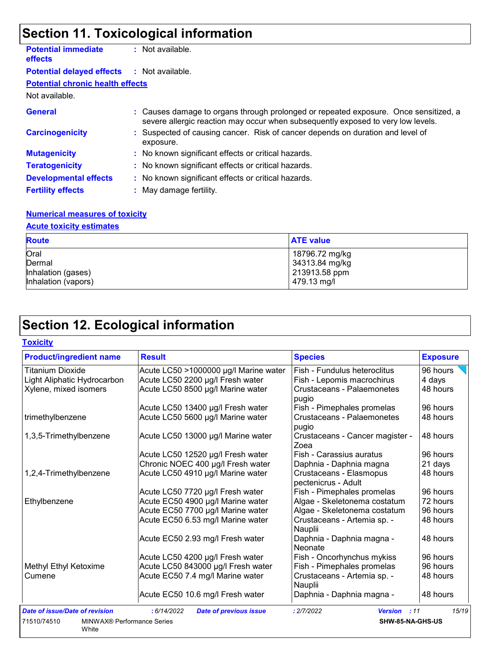| <b>Potential immediate</b><br><b>effects</b> | : Not available.                                                                                                                                                         |
|----------------------------------------------|--------------------------------------------------------------------------------------------------------------------------------------------------------------------------|
| <b>Potential delayed effects</b>             | : Not available.                                                                                                                                                         |
| <b>Potential chronic health effects</b>      |                                                                                                                                                                          |
| Not available.                               |                                                                                                                                                                          |
| <b>General</b>                               | : Causes damage to organs through prolonged or repeated exposure. Once sensitized, a<br>severe allergic reaction may occur when subsequently exposed to very low levels. |
| <b>Carcinogenicity</b>                       | : Suspected of causing cancer. Risk of cancer depends on duration and level of<br>exposure.                                                                              |
| <b>Mutagenicity</b>                          | : No known significant effects or critical hazards.                                                                                                                      |
| <b>Teratogenicity</b>                        | : No known significant effects or critical hazards.                                                                                                                      |
| <b>Developmental effects</b>                 | : No known significant effects or critical hazards.                                                                                                                      |
| <b>Fertility effects</b>                     | : May damage fertility.                                                                                                                                                  |

### **Numerical measures of toxicity**

### **Acute toxicity estimates**

| <b>Route</b>        | <b>ATE value</b> |
|---------------------|------------------|
| Oral                | 18796.72 mg/kg   |
| Dermal              | 34313.84 mg/kg   |
| Inhalation (gases)  | 213913.58 ppm    |
| Inhalation (vapors) | 479.13 mg/l      |

## **Section 12. Ecological information**

| <b>Toxicity</b> |  |  |
|-----------------|--|--|
|                 |  |  |

| <b>Product/ingredient name</b>                     | <b>Result</b>                               | <b>Species</b>                                 | <b>Exposure</b> |
|----------------------------------------------------|---------------------------------------------|------------------------------------------------|-----------------|
| Titanium Dioxide                                   | Acute LC50 >1000000 µg/l Marine water       | Fish - Fundulus heteroclitus                   | 96 hours        |
| Light Aliphatic Hydrocarbon                        | Acute LC50 2200 µg/l Fresh water            | Fish - Lepomis macrochirus                     | 4 days          |
| Xylene, mixed isomers                              | Acute LC50 8500 µg/l Marine water           | <b>Crustaceans - Palaemonetes</b><br>pugio     | 48 hours        |
|                                                    | Acute LC50 13400 µg/l Fresh water           | Fish - Pimephales promelas                     | 96 hours        |
| trimethylbenzene                                   | Acute LC50 5600 µg/l Marine water           | Crustaceans - Palaemonetes<br>pugio            | 48 hours        |
| 1,3,5-Trimethylbenzene                             | Acute LC50 13000 µg/l Marine water          | Crustaceans - Cancer magister -<br>Zoea        | 48 hours        |
|                                                    | Acute LC50 12520 µg/l Fresh water           | Fish - Carassius auratus                       | 96 hours        |
|                                                    | Chronic NOEC 400 µg/l Fresh water           | Daphnia - Daphnia magna                        | 21 days         |
| 1,2,4-Trimethylbenzene                             | Acute LC50 4910 µg/l Marine water           | Crustaceans - Elasmopus<br>pectenicrus - Adult | 48 hours        |
|                                                    | Acute LC50 7720 µg/l Fresh water            | Fish - Pimephales promelas                     | 96 hours        |
| Ethylbenzene                                       | Acute EC50 4900 µg/l Marine water           | Algae - Skeletonema costatum                   | 72 hours        |
|                                                    | Acute EC50 7700 µg/l Marine water           | Algae - Skeletonema costatum                   | 96 hours        |
|                                                    | Acute EC50 6.53 mg/l Marine water           | Crustaceans - Artemia sp. -<br>Nauplii         | 48 hours        |
|                                                    | Acute EC50 2.93 mg/l Fresh water            | Daphnia - Daphnia magna -<br>Neonate           | 48 hours        |
|                                                    | Acute LC50 4200 µg/l Fresh water            | Fish - Oncorhynchus mykiss                     | 96 hours        |
| Methyl Ethyl Ketoxime                              | Acute LC50 843000 µg/l Fresh water          | Fish - Pimephales promelas                     | 96 hours        |
| Cumene                                             | Acute EC50 7.4 mg/l Marine water            | Crustaceans - Artemia sp. -<br>Nauplii         | 48 hours        |
|                                                    | Acute EC50 10.6 mg/l Fresh water            | Daphnia - Daphnia magna -                      | 48 hours        |
| <b>Date of issue/Date of revision</b>              | :6/14/2022<br><b>Date of previous issue</b> | : 2/7/2022<br><b>Version</b><br>: 11           | 15/19           |
| 71510/74510<br>MINWAX® Performance Series<br>White |                                             | SHW-85-NA-GHS-US                               |                 |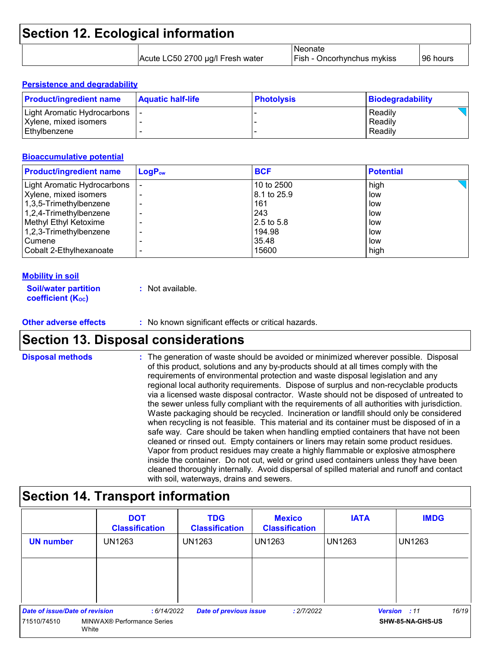| <b>Section 12. Ecological information</b> |                                  |                                                     |           |
|-------------------------------------------|----------------------------------|-----------------------------------------------------|-----------|
|                                           | Acute LC50 2700 µg/l Fresh water | <b>Neonate</b><br><b>Fish - Oncorhynchus mykiss</b> | 196 hours |

#### **Persistence and degradability**

| <b>Product/ingredient name</b>        | <b>Aquatic half-life</b> | <b>Photolysis</b> | Biodegradability   |
|---------------------------------------|--------------------------|-------------------|--------------------|
| Light Aromatic Hydrocarbons           |                          |                   | Readily            |
| Xylene, mixed isomers<br>Ethvlbenzene |                          |                   | Readily<br>Readily |
|                                       |                          |                   |                    |

#### **Bioaccumulative potential**

| <b>Product/ingredient name</b> | $LogP_{ow}$ | <b>BCF</b>  | <b>Potential</b> |
|--------------------------------|-------------|-------------|------------------|
| Light Aromatic Hydrocarbons    |             | 10 to 2500  | high             |
| Xylene, mixed isomers          |             | 8.1 to 25.9 | low              |
| 1,3,5-Trimethylbenzene         |             | 161         | low              |
| 1,2,4-Trimethylbenzene         |             | 243         | low              |
| Methyl Ethyl Ketoxime          |             | 2.5 to 5.8  | low              |
| 1,2,3-Trimethylbenzene         | -           | 194.98      | low              |
| Cumene                         |             | 35.48       | low              |
| Cobalt 2-Ethylhexanoate        | -           | 15600       | high             |

#### **Mobility in soil**

| <b>Soil/water partition</b> | : Not available. |
|-----------------------------|------------------|
| <b>coefficient (Koc)</b>    |                  |

### **Other adverse effects** : No known significant effects or critical hazards.

### **Section 13. Disposal considerations**

The generation of waste should be avoided or minimized wherever possible. Disposal of this product, solutions and any by-products should at all times comply with the requirements of environmental protection and waste disposal legislation and any regional local authority requirements. Dispose of surplus and non-recyclable products via a licensed waste disposal contractor. Waste should not be disposed of untreated to the sewer unless fully compliant with the requirements of all authorities with jurisdiction. Waste packaging should be recycled. Incineration or landfill should only be considered when recycling is not feasible. This material and its container must be disposed of in a safe way. Care should be taken when handling emptied containers that have not been cleaned or rinsed out. Empty containers or liners may retain some product residues. Vapor from product residues may create a highly flammable or explosive atmosphere inside the container. Do not cut, weld or grind used containers unless they have been cleaned thoroughly internally. Avoid dispersal of spilled material and runoff and contact with soil, waterways, drains and sewers. **Disposal methods :**

### **Section 14. Transport information**

|                                | <b>DOT</b><br><b>Classification</b> | <b>TDG</b><br><b>Classification</b> | <b>Mexico</b><br><b>Classification</b> | <b>IATA</b>   | <b>IMDG</b>           |
|--------------------------------|-------------------------------------|-------------------------------------|----------------------------------------|---------------|-----------------------|
| <b>UN number</b>               | <b>UN1263</b>                       | UN1263                              | UN1263                                 | <b>UN1263</b> | <b>UN1263</b>         |
|                                |                                     |                                     |                                        |               |                       |
|                                |                                     |                                     |                                        |               |                       |
| Date of issue/Date of revision | : 6/14/2022                         | <b>Date of previous issue</b>       | : 2/7/2022                             |               | 16/19<br>Version : 11 |
| 71510/74510                    | MINWAX® Performance Series<br>White |                                     |                                        |               | SHW-85-NA-GHS-US      |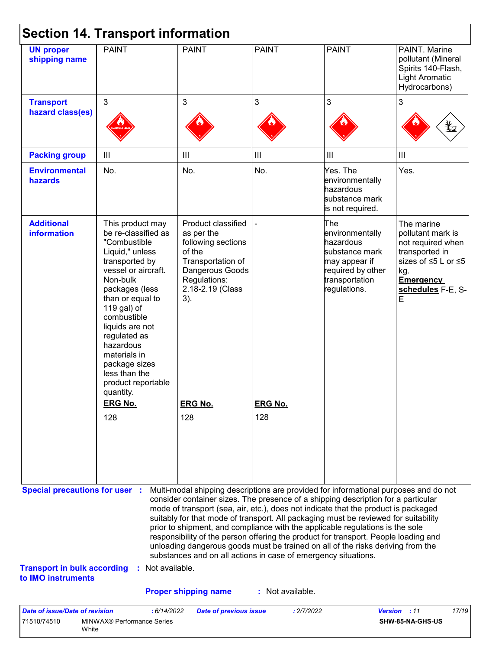| <b>UN proper</b><br>shipping name                                                                 | <b>PAINT</b>                                                                                                                                                                                                                                                                                                                             | <b>PAINT</b>                                                                                                                                        | <b>PAINT</b>     | <b>PAINT</b>                                                                                                                                                                                                                                                                                                                                                                                                                                                                                                                                                                                                      | PAINT. Marine                                                                                                                                      |
|---------------------------------------------------------------------------------------------------|------------------------------------------------------------------------------------------------------------------------------------------------------------------------------------------------------------------------------------------------------------------------------------------------------------------------------------------|-----------------------------------------------------------------------------------------------------------------------------------------------------|------------------|-------------------------------------------------------------------------------------------------------------------------------------------------------------------------------------------------------------------------------------------------------------------------------------------------------------------------------------------------------------------------------------------------------------------------------------------------------------------------------------------------------------------------------------------------------------------------------------------------------------------|----------------------------------------------------------------------------------------------------------------------------------------------------|
|                                                                                                   |                                                                                                                                                                                                                                                                                                                                          |                                                                                                                                                     |                  |                                                                                                                                                                                                                                                                                                                                                                                                                                                                                                                                                                                                                   | pollutant (Mineral<br>Spirits 140-Flash,<br><b>Light Aromatic</b><br>Hydrocarbons)                                                                 |
| <b>Transport</b>                                                                                  | $\mathbf{3}$                                                                                                                                                                                                                                                                                                                             | 3                                                                                                                                                   | 3                | 3                                                                                                                                                                                                                                                                                                                                                                                                                                                                                                                                                                                                                 | 3                                                                                                                                                  |
| hazard class(es)                                                                                  |                                                                                                                                                                                                                                                                                                                                          |                                                                                                                                                     |                  |                                                                                                                                                                                                                                                                                                                                                                                                                                                                                                                                                                                                                   |                                                                                                                                                    |
| <b>Packing group</b>                                                                              | III                                                                                                                                                                                                                                                                                                                                      | III                                                                                                                                                 | III              | $\mathbf{III}$                                                                                                                                                                                                                                                                                                                                                                                                                                                                                                                                                                                                    | III                                                                                                                                                |
| <b>Environmental</b><br>hazards                                                                   | No.                                                                                                                                                                                                                                                                                                                                      | No.                                                                                                                                                 | No.              | Yes. The<br>environmentally<br>hazardous<br>substance mark<br>is not required.                                                                                                                                                                                                                                                                                                                                                                                                                                                                                                                                    | Yes.                                                                                                                                               |
| <b>Additional</b><br><b>information</b>                                                           | This product may<br>be re-classified as<br>"Combustible<br>Liquid," unless<br>transported by<br>vessel or aircraft.<br>Non-bulk<br>packages (less<br>than or equal to<br>119 gal) of<br>combustible<br>liquids are not<br>regulated as<br>hazardous<br>materials in<br>package sizes<br>less than the<br>product reportable<br>quantity. | Product classified<br>as per the<br>following sections<br>of the<br>Transportation of<br>Dangerous Goods<br>Regulations:<br>2.18-2.19 (Class<br>3). |                  | The<br>environmentally<br>hazardous<br>substance mark<br>may appear if<br>required by other<br>transportation<br>regulations.                                                                                                                                                                                                                                                                                                                                                                                                                                                                                     | The marine<br>pollutant mark is<br>not required when<br>transported in<br>sizes of ≤5 L or ≤5<br>kg.<br><b>Emergency</b><br>schedules F-E, S-<br>E |
|                                                                                                   | <b>ERG No.</b>                                                                                                                                                                                                                                                                                                                           | <b>ERG No.</b>                                                                                                                                      | <b>ERG No.</b>   |                                                                                                                                                                                                                                                                                                                                                                                                                                                                                                                                                                                                                   |                                                                                                                                                    |
|                                                                                                   | 128                                                                                                                                                                                                                                                                                                                                      | 128                                                                                                                                                 | 128              |                                                                                                                                                                                                                                                                                                                                                                                                                                                                                                                                                                                                                   |                                                                                                                                                    |
| <b>Special precautions for user :</b><br><b>Transport in bulk according</b><br>to IMO instruments | Not available.                                                                                                                                                                                                                                                                                                                           | substances and on all actions in case of emergency situations.                                                                                      |                  | Multi-modal shipping descriptions are provided for informational purposes and do not<br>consider container sizes. The presence of a shipping description for a particular<br>mode of transport (sea, air, etc.), does not indicate that the product is packaged<br>suitably for that mode of transport. All packaging must be reviewed for suitability<br>prior to shipment, and compliance with the applicable regulations is the sole<br>responsibility of the person offering the product for transport. People loading and<br>unloading dangerous goods must be trained on all of the risks deriving from the |                                                                                                                                                    |
|                                                                                                   |                                                                                                                                                                                                                                                                                                                                          | <b>Proper shipping name</b>                                                                                                                         | : Not available. |                                                                                                                                                                                                                                                                                                                                                                                                                                                                                                                                                                                                                   |                                                                                                                                                    |

White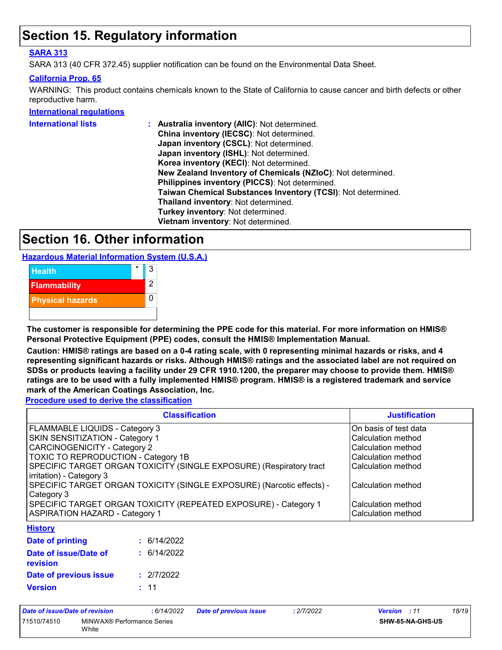### **Section 15. Regulatory information**

### **SARA 313**

SARA 313 (40 CFR 372.45) supplier notification can be found on the Environmental Data Sheet.

### **California Prop. 65**

WARNING: This product contains chemicals known to the State of California to cause cancer and birth defects or other reproductive harm.

#### **International regulations**

| International lists | : Australia inventory (AIIC): Not determined.                |
|---------------------|--------------------------------------------------------------|
|                     | China inventory (IECSC): Not determined.                     |
|                     | Japan inventory (CSCL): Not determined.                      |
|                     | Japan inventory (ISHL): Not determined.                      |
|                     | Korea inventory (KECI): Not determined.                      |
|                     | New Zealand Inventory of Chemicals (NZIoC): Not determined.  |
|                     | Philippines inventory (PICCS): Not determined.               |
|                     | Taiwan Chemical Substances Inventory (TCSI): Not determined. |
|                     | Thailand inventory: Not determined.                          |
|                     | Turkey inventory: Not determined.                            |
|                     | Vietnam inventory: Not determined.                           |
|                     |                                                              |

### **Section 16. Other information**

**Hazardous Material Information System (U.S.A.)**



**The customer is responsible for determining the PPE code for this material. For more information on HMIS® Personal Protective Equipment (PPE) codes, consult the HMIS® Implementation Manual.**

**Caution: HMIS® ratings are based on a 0-4 rating scale, with 0 representing minimal hazards or risks, and 4 representing significant hazards or risks. Although HMIS® ratings and the associated label are not required on SDSs or products leaving a facility under 29 CFR 1910.1200, the preparer may choose to provide them. HMIS® ratings are to be used with a fully implemented HMIS® program. HMIS® is a registered trademark and service mark of the American Coatings Association, Inc.**

**Procedure used to derive the classification**

| <b>Classification</b>                                                 | <b>Justification</b>  |
|-----------------------------------------------------------------------|-----------------------|
| FLAMMABLE LIQUIDS - Category 3                                        | On basis of test data |
| <b>SKIN SENSITIZATION - Category 1</b>                                | Calculation method    |
| CARCINOGENICITY - Category 2                                          | Calculation method    |
| TOXIC TO REPRODUCTION - Category 1B                                   | Calculation method    |
| SPECIFIC TARGET ORGAN TOXICITY (SINGLE EXPOSURE) (Respiratory tract   | Calculation method    |
| irritation) - Category 3                                              |                       |
| SPECIFIC TARGET ORGAN TOXICITY (SINGLE EXPOSURE) (Narcotic effects) - | lCalculation method   |
| Category 3                                                            |                       |
| SPECIFIC TARGET ORGAN TOXICITY (REPEATED EXPOSURE) - Category 1       | Calculation method    |
| <b>ASPIRATION HAZARD - Category 1</b>                                 | Calculation method    |
| Hietory                                                               |                       |

#### **History**

| Date of printing                         | : 6/14/2022 |
|------------------------------------------|-------------|
| Date of issue/Date of<br><b>revision</b> | : 6/14/2022 |
| Date of previous issue                   | : 2/7/2022  |
| <b>Version</b>                           | : 11        |